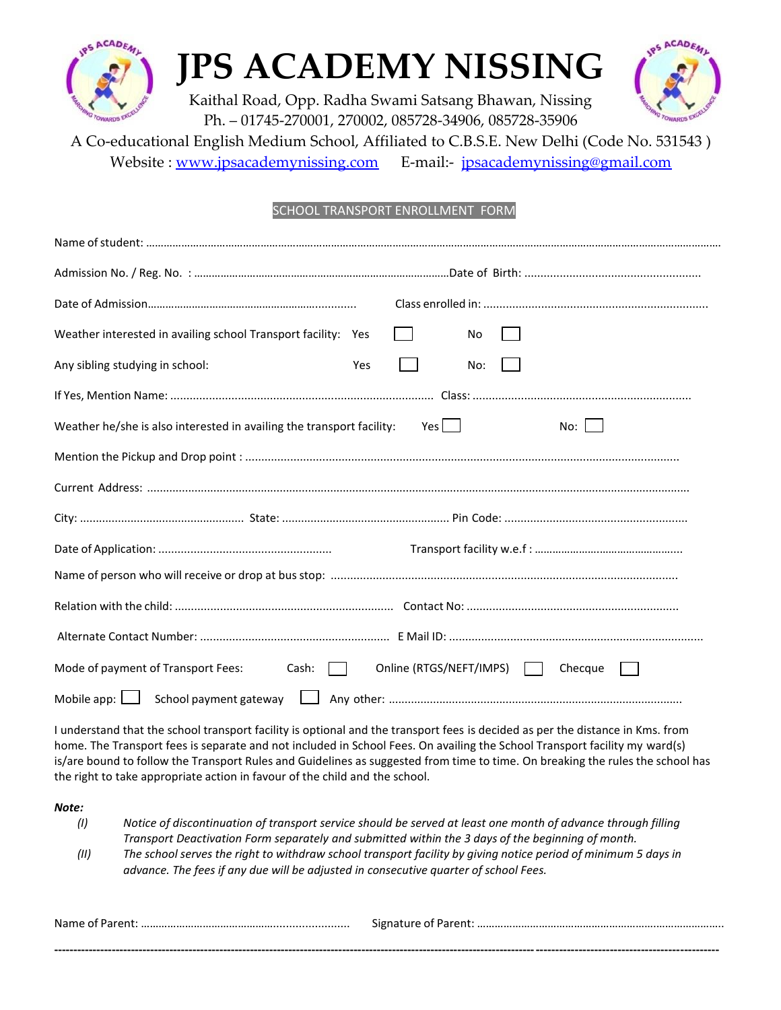

# **JPS ACADEMY NISSING**

Kaithal Road, Opp. Radha Swami Satsang Bhawan, Nissing Ph. – 01745-270001, 270002, 085728-34906, 085728-35906



A Co-educational English Medium School, Affiliated to C.B.S.E. New Delhi (Code No. 531543 )

Website : [www.jpsacademynissing.com](http://www.jpsacademynissing.com/) E-mail:- [jpsacademynissing@gmail.com](mailto:jpsacademynissing@gmail.com)

### SCHOOL TRANSPORT ENROLLMENT FORM

| Weather interested in availing school Transport facility: Yes<br>No                               |
|---------------------------------------------------------------------------------------------------|
| Any sibling studying in school:<br>Yes<br>No:                                                     |
|                                                                                                   |
| Weather he/she is also interested in availing the transport facility:<br>Yes l<br>No: I           |
|                                                                                                   |
|                                                                                                   |
|                                                                                                   |
|                                                                                                   |
|                                                                                                   |
|                                                                                                   |
|                                                                                                   |
| Mode of payment of Transport Fees:<br>Online (RTGS/NEFT/IMPS)<br>Cash:<br>Checque<br>$\mathbf{1}$ |
|                                                                                                   |

I understand that the school transport facility is optional and the transport fees is decided as per the distance in Kms. from home. The Transport fees is separate and not included in School Fees. On availing the School Transport facility my ward(s) is/are bound to follow the Transport Rules and Guidelines as suggested from time to time. On breaking the rules the school has the right to take appropriate action in favour of the child and the school.

#### *Note:*

- *(I) Notice of discontinuation of transport service should be served at least one month of advance through filling Transport Deactivation Form separately and submitted within the 3 days of the beginning of month.*
- (II) The school serves the right to withdraw school transport facility by giving notice period of minimum 5 days in *advance. The fees if any due will be adjusted in consecutive quarter of school Fees.*

| Name of Parent: |  |
|-----------------|--|
|                 |  |
| ------------    |  |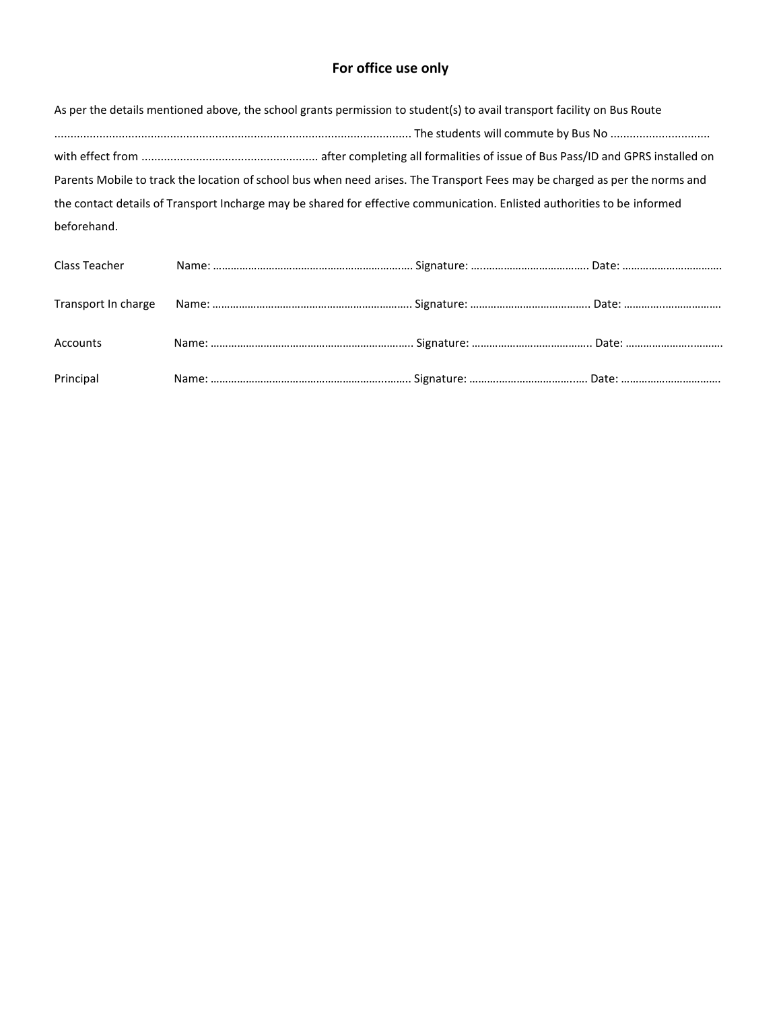## **For office use only**

|             | As per the details mentioned above, the school grants permission to student(s) to avail transport facility on Bus Route     |
|-------------|-----------------------------------------------------------------------------------------------------------------------------|
|             |                                                                                                                             |
|             |                                                                                                                             |
|             | Parents Mobile to track the location of school bus when need arises. The Transport Fees may be charged as per the norms and |
|             | the contact details of Transport Incharge may be shared for effective communication. Enlisted authorities to be informed    |
| beforehand. |                                                                                                                             |

| Class Teacher |  |  |
|---------------|--|--|
|               |  |  |
|               |  |  |
|               |  |  |
|               |  |  |
| Accounts      |  |  |
|               |  |  |
| Principal     |  |  |
|               |  |  |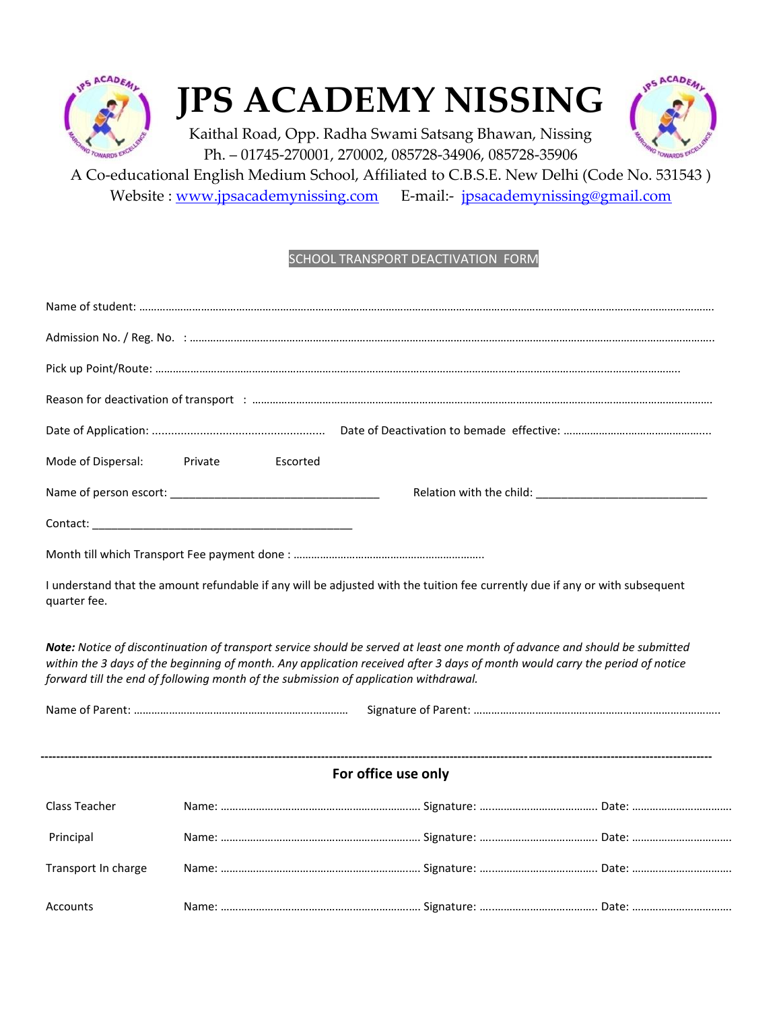

# **JPS ACADEMY NISSING**



Kaithal Road, Opp. Radha Swami Satsang Bhawan, Nissing Ph. – 01745-270001, 270002, 085728-34906, 085728-35906

A Co-educational English Medium School, Affiliated to C.B.S.E. New Delhi (Code No. 531543 ) Website : [www.jpsacademynissing.com](http://www.jpsacademynissing.com/) E-mail:- [jpsacademynissing@gmail.com](mailto:jpsacademynissing@gmail.com)

### SCHOOL TRANSPORT DEACTIVATION FORM

| Mode of Dispersal:                                                                                                                                                                                                                                                                                                                                  | Private<br>Escorted                           |  |  |  |
|-----------------------------------------------------------------------------------------------------------------------------------------------------------------------------------------------------------------------------------------------------------------------------------------------------------------------------------------------------|-----------------------------------------------|--|--|--|
|                                                                                                                                                                                                                                                                                                                                                     | Name of person escort: Name of person escort: |  |  |  |
|                                                                                                                                                                                                                                                                                                                                                     |                                               |  |  |  |
|                                                                                                                                                                                                                                                                                                                                                     |                                               |  |  |  |
| I understand that the amount refundable if any will be adjusted with the tuition fee currently due if any or with subsequent<br>quarter fee.                                                                                                                                                                                                        |                                               |  |  |  |
| Note: Notice of discontinuation of transport service should be served at least one month of advance and should be submitted<br>within the 3 days of the beginning of month. Any application received after 3 days of month would carry the period of notice<br>forward till the end of following month of the submission of application withdrawal. |                                               |  |  |  |
|                                                                                                                                                                                                                                                                                                                                                     |                                               |  |  |  |
|                                                                                                                                                                                                                                                                                                                                                     |                                               |  |  |  |
| For office use only                                                                                                                                                                                                                                                                                                                                 |                                               |  |  |  |
| Class Teacher                                                                                                                                                                                                                                                                                                                                       |                                               |  |  |  |
| Principal                                                                                                                                                                                                                                                                                                                                           |                                               |  |  |  |
| Transport In charge                                                                                                                                                                                                                                                                                                                                 |                                               |  |  |  |
| Accounts                                                                                                                                                                                                                                                                                                                                            |                                               |  |  |  |